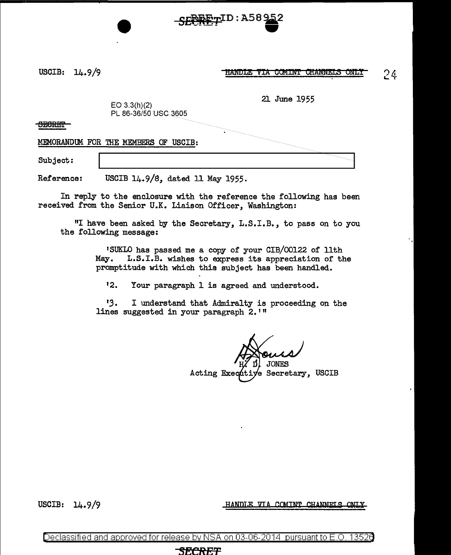

USCIB: 14.9/9

HANDLE VIA COMINT CHANNELS ONLY

21 June 1955

24

 $E$ O 3.3(h)(2) PL 86-36/50 USC 3605

**SECRET** 

MEMORANDUM FOR THE MEMBERS OF USCIB:

Subject:

Reference: USCIB 14.9/s, dated 11 May 1955.

In reply to the enclosure with the reference the following has been received from the Senior U.K. Liaison Officer, Washington:

"I have been asked by the Secretary, L.S.I.B., to pass on to you the following message:

> 1SUKLO has passed me a copy of your CIB/00122 of 11th May. L.S.I.B. wishes to express its appreciation of the promptitude with which this subject has been handled.

<sup>1</sup>2. Your paragraph 1 is agreed and understood.

*'3.* I understand that Admiralty is proceeding on the lines suggested in your paragraph 2.<sup>11</sup>

Acting Executive Secretary, USCIB

HANDLE VIA COMINT CHANNELS ONLY

USCIB: 14.9/9

Declassified and approved for release by NSA on 03-06-2014 pursuantto E.O. 1352a

#### **SECREF**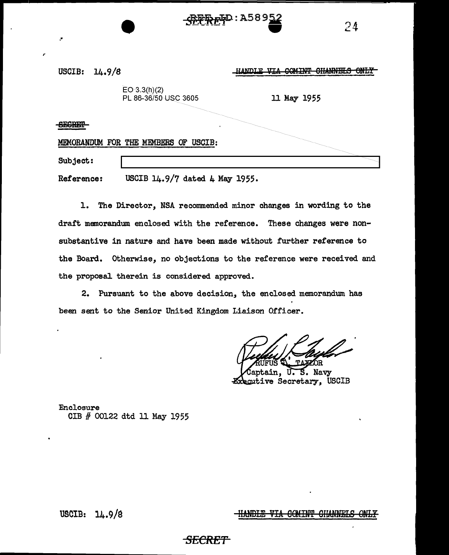| USCIB:<br>14.9/8                                 | COMINT CHANNELS ONLY<br>HANDLE VIA |
|--------------------------------------------------|------------------------------------|
| EO 3.3(h)(2)<br>PL 86-36/50 USC 3605             | 11 May 1955                        |
| <b>CLODED</b>                                    | $\blacksquare$                     |
| MEMORANDUM FOR THE MEMBERS OF USCIB:<br>Subject: |                                    |

Reference: USCIB 14.9/7 dated 4 May 1955.

 $R_{R}F_{T}D: A58952$ 

1. The Director, NSA recommended minor changes in wording to the draft memorandum enclosed with the reference. These changes were nonsubstantive in nature and have been made without further reference to the Board. Otherwise, no objections to the reference were received and the proposal therein is considered approved.

2. Pursuant to the above decision, the enclosed memorandum has been sent to the Senior United Kingdom Liaison Officer.

ÓR

 $74$ 

S. Navy Executive Secretary, USCIB

Enclosure CIB # 00122 dtd 11 May 1955

HANDLE VIA COMINT CHANNELS ONLY

USCIB: 14.9/a

,.

## **SECRE'f**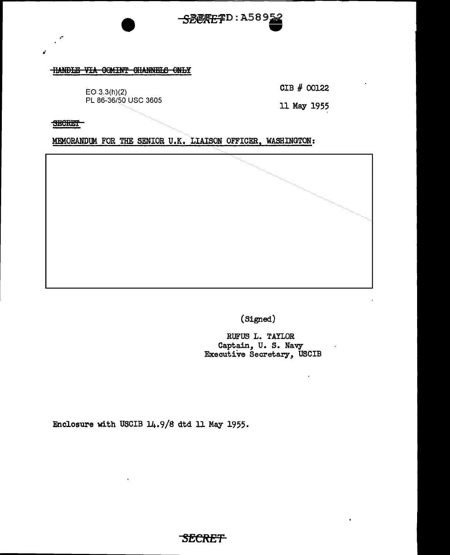

### HANDLE VIA COMINT CHANNELS ONLY

E03.3(h)(2) PL 86~36/50 USC 3605 CIB # 00122

11 May 1955

**SECRET** 

.~

MEMORANDUM FOR THE SENIOR U.K, LIAISON OFFICER, WASHINGTON:



(Signed)

RUFUS L. TAYLOR Captain, U. S. Navy Executive Secretary, USCIB

Enclosure with USCIB 14.9/8 dtd 11 May 1955.

*SECRET*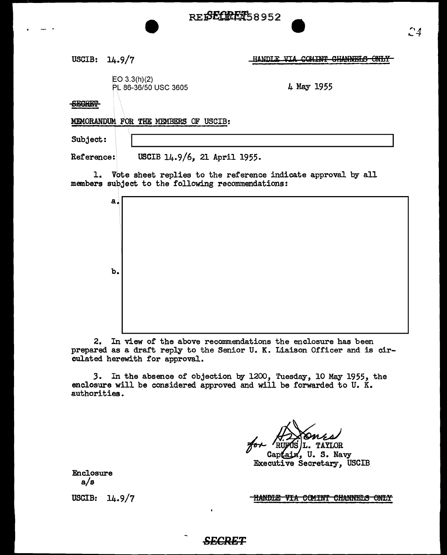

USCIB: 14.9/7

HANDLE VIA COMINT CHANNELS ONLY

EO 3.3(h)(2) PL 86-36/50 USC 3605 4 May 1955

**SECRET** 

MEMORANDUM FOR THE MEMBERS OF USCIB:

Subject:

Reference: USCIB 14.9/6, 21 April 1955.

1. Vote sheet replies to the reference indicate approval by all members subject to the following recommendations:

| $a_{\star}$    |  |
|----------------|--|
|                |  |
|                |  |
|                |  |
|                |  |
| $\mathbf{b}$ . |  |
|                |  |
|                |  |
|                |  |
|                |  |

2. In view or the above recommendations the enclosure has been prepared as a draft reply to the Senior U. K. Liaison Officer and is circulated herewith for approval.

*3.* In the absence of objection by 1200, Tuesday, 10 May 1955, the enclosure will be considered approved and will be forwarded to U. K. authorities.

Captain, U.S. Navy Executive Secretary, USCIB

Enclosure a/s

USCIB: 14.9/7

<u>-HANDLE VIA COMINT CHANNELS ONLY</u>

## *SECRET*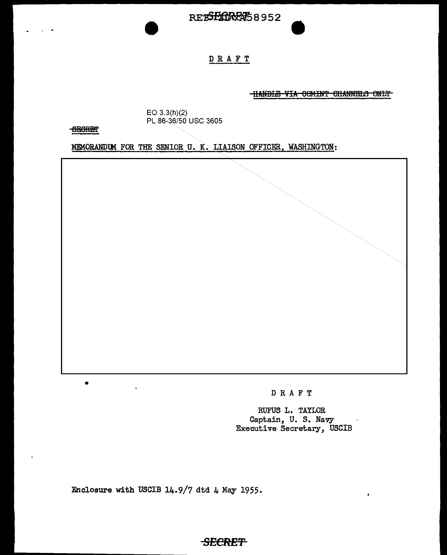

## DRAFT

HANDLE VIA COMINT CHANNELS ONLY

EQ 3.3(h)(2) PL 86-36/50 USC 3605

SEGRET

•

MEMORANDUM FOR THE SENIOR U. K. LIAISON OFFICER, WASHINGTON:

DRAFT

RUFUS L. TAYLOR Captain, U. S. Navy  $\mathcal{A}$ Executive Secretary, USCIB

 $\bullet$ 

Enclosure with USCIB 14.9/7 dtd 4 May 1955.

# *SECRET*